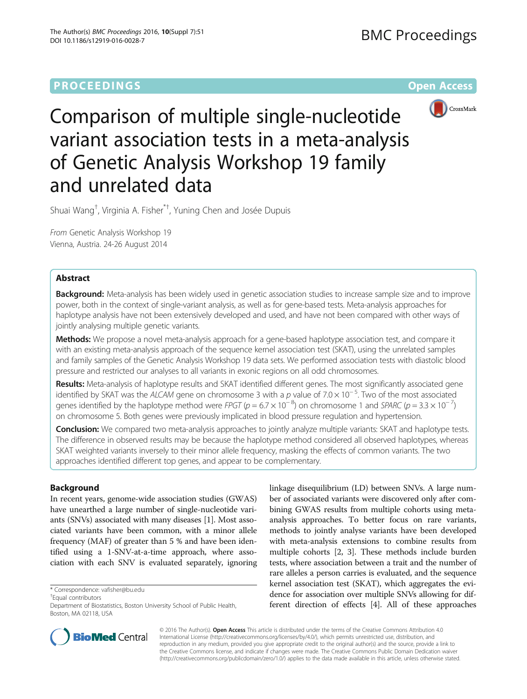# **PROCEEDINGS CONSUMING SECTION CONSUMING SECTION CONSUMING SECTION CONSUMING SECTION CONSUMING SECTION CONSUMING SECTION CONSUMING SECTION CONSUMING SECTION CONSUMING SECTION CONSUMING SECTION CONSUMING SECTION CONSUMING**



Comparison of multiple single-nucleotide variant association tests in a meta-analysis of Genetic Analysis Workshop 19 family and unrelated data

Shuai Wang<sup>†</sup>, Virginia A. Fisher<sup>\*†</sup>, Yuning Chen and Josée Dupuis

From Genetic Analysis Workshop 19 Vienna, Austria. 24-26 August 2014

### Abstract

Background: Meta-analysis has been widely used in genetic association studies to increase sample size and to improve power, both in the context of single-variant analysis, as well as for gene-based tests. Meta-analysis approaches for haplotype analysis have not been extensively developed and used, and have not been compared with other ways of jointly analysing multiple genetic variants.

Methods: We propose a novel meta-analysis approach for a gene-based haplotype association test, and compare it with an existing meta-analysis approach of the sequence kernel association test (SKAT), using the unrelated samples and family samples of the Genetic Analysis Workshop 19 data sets. We performed association tests with diastolic blood pressure and restricted our analyses to all variants in exonic regions on all odd chromosomes.

Results: Meta-analysis of haplotype results and SKAT identified different genes. The most significantly associated gene identified by SKAT was the ALCAM gene on chromosome 3 with a p value of 7.0 × 10<sup>−</sup> <sup>5</sup> . Two of the most associated genes identified by the haplotype method were FPGT ( $p = 6.7 \times 10^{-8}$ ) on chromosome 1 and SPARC ( $p = 3.3 \times 10^{-7}$ ) on chromosome 5. Both genes were previously implicated in blood pressure regulation and hypertension.

Conclusion: We compared two meta-analysis approaches to jointly analyze multiple variants: SKAT and haplotype tests. The difference in observed results may be because the haplotype method considered all observed haplotypes, whereas SKAT weighted variants inversely to their minor allele frequency, masking the effects of common variants. The two approaches identified different top genes, and appear to be complementary.

# Background

In recent years, genome-wide association studies (GWAS) have unearthed a large number of single-nucleotide variants (SNVs) associated with many diseases [[1](#page-3-0)]. Most associated variants have been common, with a minor allele frequency (MAF) of greater than 5 % and have been identified using a 1-SNV-at-a-time approach, where association with each SNV is evaluated separately, ignoring

\* Correspondence: [vafisher@bu.edu](mailto:vafisher@bu.edu) †

<sup>+</sup>Equal contributors

linkage disequilibrium (LD) between SNVs. A large number of associated variants were discovered only after combining GWAS results from multiple cohorts using metaanalysis approaches. To better focus on rare variants, methods to jointly analyse variants have been developed with meta-analysis extensions to combine results from multiple cohorts [\[2,](#page-3-0) [3\]](#page-4-0). These methods include burden tests, where association between a trait and the number of rare alleles a person carries is evaluated, and the sequence kernel association test (SKAT), which aggregates the evidence for association over multiple SNVs allowing for different direction of effects [[4\]](#page-4-0). All of these approaches



© 2016 The Author(s). Open Access This article is distributed under the terms of the Creative Commons Attribution 4.0 International License [\(http://creativecommons.org/licenses/by/4.0/](http://creativecommons.org/licenses/by/4.0/)), which permits unrestricted use, distribution, and reproduction in any medium, provided you give appropriate credit to the original author(s) and the source, provide a link to the Creative Commons license, and indicate if changes were made. The Creative Commons Public Domain Dedication waiver [\(http://creativecommons.org/publicdomain/zero/1.0/](http://creativecommons.org/publicdomain/zero/1.0/)) applies to the data made available in this article, unless otherwise stated.

Department of Biostatistics, Boston University School of Public Health, Boston, MA 02118, USA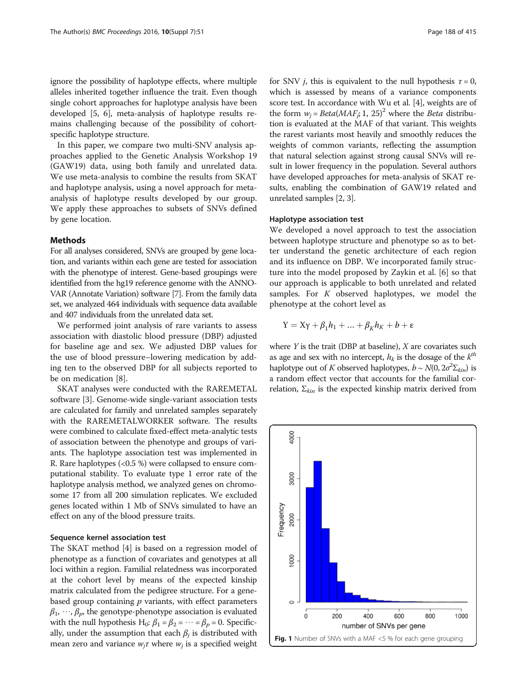<span id="page-1-0"></span>ignore the possibility of haplotype effects, where multiple alleles inherited together influence the trait. Even though single cohort approaches for haplotype analysis have been developed [\[5](#page-4-0), [6\]](#page-4-0), meta-analysis of haplotype results remains challenging because of the possibility of cohortspecific haplotype structure.

In this paper, we compare two multi-SNV analysis approaches applied to the Genetic Analysis Workshop 19 (GAW19) data, using both family and unrelated data. We use meta-analysis to combine the results from SKAT and haplotype analysis, using a novel approach for metaanalysis of haplotype results developed by our group. We apply these approaches to subsets of SNVs defined by gene location.

### Methods

For all analyses considered, SNVs are grouped by gene location, and variants within each gene are tested for association with the phenotype of interest. Gene-based groupings were identified from the hg19 reference genome with the ANNO-VAR (Annotate Variation) software [\[7\]](#page-4-0). From the family data set, we analyzed 464 individuals with sequence data available and 407 individuals from the unrelated data set.

We performed joint analysis of rare variants to assess association with diastolic blood pressure (DBP) adjusted for baseline age and sex. We adjusted DBP values for the use of blood pressure–lowering medication by adding ten to the observed DBP for all subjects reported to be on medication [\[8](#page-4-0)].

SKAT analyses were conducted with the RAREMETAL software [\[3](#page-4-0)]. Genome-wide single-variant association tests are calculated for family and unrelated samples separately with the RAREMETALWORKER software. The results were combined to calculate fixed-effect meta-analytic tests of association between the phenotype and groups of variants. The haplotype association test was implemented in R. Rare haplotypes (<0.5 %) were collapsed to ensure computational stability. To evaluate type 1 error rate of the haplotype analysis method, we analyzed genes on chromosome 17 from all 200 simulation replicates. We excluded genes located within 1 Mb of SNVs simulated to have an effect on any of the blood pressure traits.

### Sequence kernel association test

The SKAT method [\[4](#page-4-0)] is based on a regression model of phenotype as a function of covariates and genotypes at all loci within a region. Familial relatedness was incorporated at the cohort level by means of the expected kinship matrix calculated from the pedigree structure. For a genebased group containing  $p$  variants, with effect parameters  $\beta_1, \dots, \beta_p$ , the genotype-phenotype association is evaluated with the null hypothesis H<sub>0</sub>:  $\beta_1 = \beta_2 = \cdots = \beta_p = 0$ . Specifically, under the assumption that each  $\beta_i$  is distributed with mean zero and variance  $w_j \tau$  where  $w_j$  is a specified weight

for SNV *j*, this is equivalent to the null hypothesis  $\tau = 0$ , which is assessed by means of a variance components score test. In accordance with Wu et al. [[4\]](#page-4-0), weights are of the form  $w_i = Beta(MAF_i, 1, 25)^2$  where the *Beta* distribution is evaluated at the MAF of that variant. This weights the rarest variants most heavily and smoothly reduces the weights of common variants, reflecting the assumption that natural selection against strong causal SNVs will result in lower frequency in the population. Several authors have developed approaches for meta-analysis of SKAT results, enabling the combination of GAW19 related and unrelated samples [[2](#page-3-0), [3\]](#page-4-0).

### Haplotype association test

We developed a novel approach to test the association between haplotype structure and phenotype so as to better understand the genetic architecture of each region and its influence on DBP. We incorporated family structure into the model proposed by Zaykin et al. [\[6](#page-4-0)] so that our approach is applicable to both unrelated and related samples. For  $K$  observed haplotypes, we model the phenotype at the cohort level as

$$
Y = X\gamma + \beta_1 h_1 + \dots + \beta_K h_K + b + \varepsilon
$$

where  $Y$  is the trait (DBP at baseline),  $X$  are covariates such as age and sex with no intercept,  $h_k$  is the dosage of the  $k^{th}$ haplotype out of K observed haplotypes,  $b \sim N(0, 2\sigma^2 \Sigma_{kin})$  is a random effect vector that accounts for the familial correlation,  $\Sigma_{kin}$  is the expected kinship matrix derived from

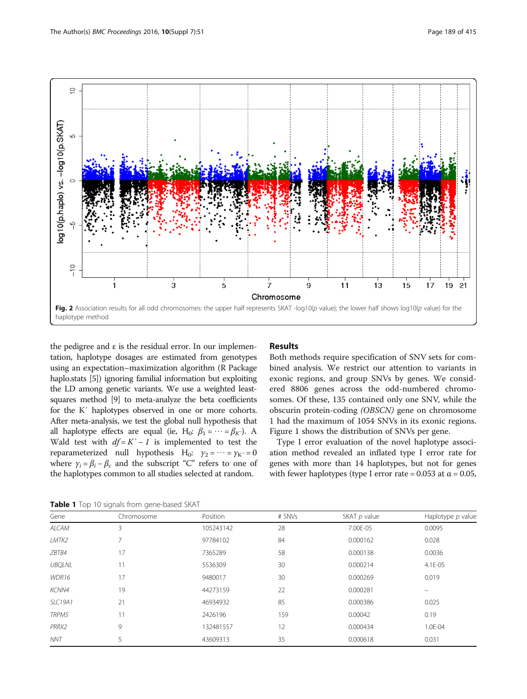<span id="page-2-0"></span>

the pedigree and ε is the residual error. In our implementation, haplotype dosages are estimated from genotypes using an expectation–maximization algorithm (R Package haplo.stats [\[5\]](#page-4-0)) ignoring familial information but exploiting the LD among genetic variants. We use a weighted leastsquares method [\[9](#page-4-0)] to meta-analyze the beta coefficients for the K′ haplotypes observed in one or more cohorts. After meta-analysis, we test the global null hypothesis that all haplotype effects are equal (ie, H<sub>0</sub>:  $\beta_1 = \cdots = \beta_K$ ). A Wald test with  $df = K' - 1$  is implemented to test the reparameterized null hypothesis H<sub>0</sub>:  $\gamma_2 = \cdots = \gamma_K = 0$ where  $\gamma_i = \beta_i - \beta_c$  and the subscript "C" refers to one of the haplotypes common to all studies selected at random.

# Results

Both methods require specification of SNV sets for combined analysis. We restrict our attention to variants in exonic regions, and group SNVs by genes. We considered 8806 genes across the odd-numbered chromosomes. Of these, 135 contained only one SNV, while the obscurin protein-coding (OBSCN) gene on chromosome 1 had the maximum of 1054 SNVs in its exonic regions. Figure [1](#page-1-0) shows the distribution of SNVs per gene.

Type I error evaluation of the novel haplotype association method revealed an inflated type I error rate for genes with more than 14 haplotypes, but not for genes with fewer haplotypes (type I error rate =  $0.053$  at  $\alpha = 0.05$ ,

Table 1 Top 10 signals from gene-based SKAT

| Gene           | Chromosome | Position  | # SNVs | SKAT p value | Haplotype $p$ value |
|----------------|------------|-----------|--------|--------------|---------------------|
| <b>ALCAM</b>   | 3          | 105243142 | 28     | 7.00E-05     | 0.0095              |
| LMTK2          |            | 97784102  | 84     | 0.000162     | 0.028               |
| ZBTB4          | 17         | 7365289   | 58     | 0.000138     | 0.0036              |
| <b>UBOLNL</b>  | 11         | 5536309   | 30     | 0.000214     | 4.1E-05             |
| WDR16          | 17         | 9480017   | 30     | 0.000269     | 0.019               |
| KCNN4          | 19         | 44273159  | 22     | 0.000281     | $\equiv$            |
| <b>SLC19A1</b> | 21         | 46934932  | 85     | 0.000386     | 0.025               |
| TRPM5          | 11         | 2426196   | 159    | 0.00042      | 0.19                |
| PRRX2          | 9          | 132481557 | 12     | 0.000434     | 1.0E-04             |
| <b>NNT</b>     | 5          | 43609313  | 35     | 0.000618     | 0.031               |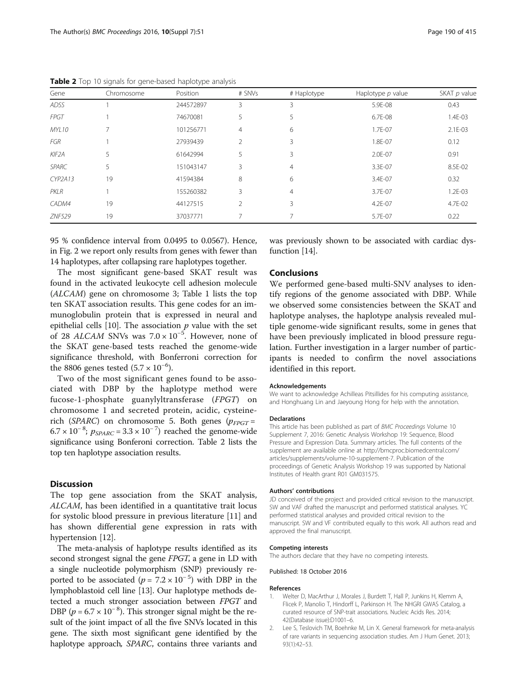| Gene               | Chromosome | Position  | # SNVs         | # Haplotype    | Haplotype $p$ value | SKAT p value |
|--------------------|------------|-----------|----------------|----------------|---------------------|--------------|
| ADSS               |            | 244572897 | 3              | 3              | 5.9E-08             | 0.43         |
| <b>FPGT</b>        |            | 74670081  | 5              | 5              | 6.7E-08             | 1.4E-03      |
| <b>MYL10</b>       |            | 101256771 | $\overline{4}$ | 6              | 1.7E-07             | 2.1E-03      |
| FGR                |            | 27939439  | $\mathfrak{D}$ | 3              | 1.8E-07             | 0.12         |
| KIF <sub>2</sub> A | 5          | 61642994  | 5              | 3              | 2.0E-07             | 0.91         |
| <b>SPARC</b>       | 5          | 151043147 | 3              | $\overline{4}$ | 3.3E-07             | 8.5E-02      |
| <b>CYP2A13</b>     | 19         | 41594384  | 8              | 6              | 3.4E-07             | 0.32         |
| PKLR               |            | 155260382 | 3              | $\overline{4}$ | 3.7E-07             | $1.2E - 03$  |
| CADM4              | 19         | 44127515  | $\mathfrak{D}$ | 3              | 4.2E-07             | 4.7E-02      |
| <b>ZNF529</b>      | 19         | 37037771  |                |                | 5.7E-07             | 0.22         |

<span id="page-3-0"></span>Table 2 Top 10 signals for gene-based haplotype analysis

95 % confidence interval from 0.0495 to 0.0567). Hence, in Fig. [2](#page-2-0) we report only results from genes with fewer than 14 haplotypes, after collapsing rare haplotypes together.

The most significant gene-based SKAT result was found in the activated leukocyte cell adhesion molecule (ALCAM) gene on chromosome 3; Table [1](#page-2-0) lists the top ten SKAT association results. This gene codes for an immunoglobulin protein that is expressed in neural and epithelial cells [[10](#page-4-0)]. The association  $p$  value with the set of 28 *ALCAM* SNVs was  $7.0 \times 10^{-5}$ . However, none of the SKAT gene-based tests reached the genome-wide significance threshold, with Bonferroni correction for the 8806 genes tested  $(5.7 \times 10^{-6})$ .

Two of the most significant genes found to be associated with DBP by the haplotype method were fucose-1-phosphate guanylyltransferase (FPGT) on chromosome 1 and secreted protein, acidic, cysteinerich (SPARC) on chromosome 5. Both genes ( $p_{FPGT}$  =  $6.7 \times 10^{-8}$ ;  $p_{SPARC} = 3.3 \times 10^{-7}$ ) reached the genome-wide significance using Bonferoni correction. Table 2 lists the top ten haplotype association results.

### **Discussion**

The top gene association from the SKAT analysis, ALCAM, has been identified in a quantitative trait locus for systolic blood pressure in previous literature [[11](#page-4-0)] and has shown differential gene expression in rats with hypertension [[12](#page-4-0)].

The meta-analysis of haplotype results identified as its second strongest signal the gene FPGT, a gene in LD with a single nucleotide polymorphism (SNP) previously reported to be associated  $(p = 7.2 \times 10^{-5})$  with DBP in the lymphoblastoid cell line [\[13](#page-4-0)]. Our haplotype methods detected a much stronger association between FPGT and DBP ( $p = 6.7 \times 10^{-8}$ ). This stronger signal might be the result of the joint impact of all the five SNVs located in this gene. The sixth most significant gene identified by the haplotype approach, SPARC, contains three variants and was previously shown to be associated with cardiac dysfunction [\[14\]](#page-4-0).

### Conclusions

We performed gene-based multi-SNV analyses to identify regions of the genome associated with DBP. While we observed some consistencies between the SKAT and haplotype analyses, the haplotype analysis revealed multiple genome-wide significant results, some in genes that have been previously implicated in blood pressure regulation. Further investigation in a larger number of participants is needed to confirm the novel associations identified in this report.

#### Acknowledgements

We want to acknowledge Achilleas Pitsillides for his computing assistance, and Honghuang Lin and Jaeyoung Hong for help with the annotation.

#### Declarations

This article has been published as part of BMC Proceedings Volume 10 Supplement 7, 2016: Genetic Analysis Workshop 19: Sequence, Blood Pressure and Expression Data. Summary articles. The full contents of the supplement are available online at [http://bmcproc.biomedcentral.com/](http://bmcproc.biomedcentral.com/articles/supplements/volume-10-supplement-7) [articles/supplements/volume-10-supplement-7.](http://bmcproc.biomedcentral.com/articles/supplements/volume-10-supplement-7) Publication of the proceedings of Genetic Analysis Workshop 19 was supported by National Institutes of Health grant R01 GM031575.

#### Authors' contributions

JD conceived of the project and provided critical revision to the manuscript. SW and VAF drafted the manuscript and performed statistical analyses. YC performed statistical analyses and provided critical revision to the manuscript. SW and VF contributed equally to this work. All authors read and approved the final manuscript.

#### Competing interests

The authors declare that they have no competing interests.

Published: 18 October 2016

#### References

- 1. Welter D, MacArthur J, Morales J, Burdett T, Hall P, Junkins H, Klemm A, Flicek P, Manolio T, Hindorff L, Parkinson H. The NHGRI GWAS Catalog, a curated resource of SNP-trait associations. Nucleic Acids Res. 2014; 42(Database issue):D1001–6.
- 2. Lee S, Teslovich TM, Boehnke M, Lin X. General framework for meta-analysis of rare variants in sequencing association studies. Am J Hum Genet. 2013; 93(1):42–53.